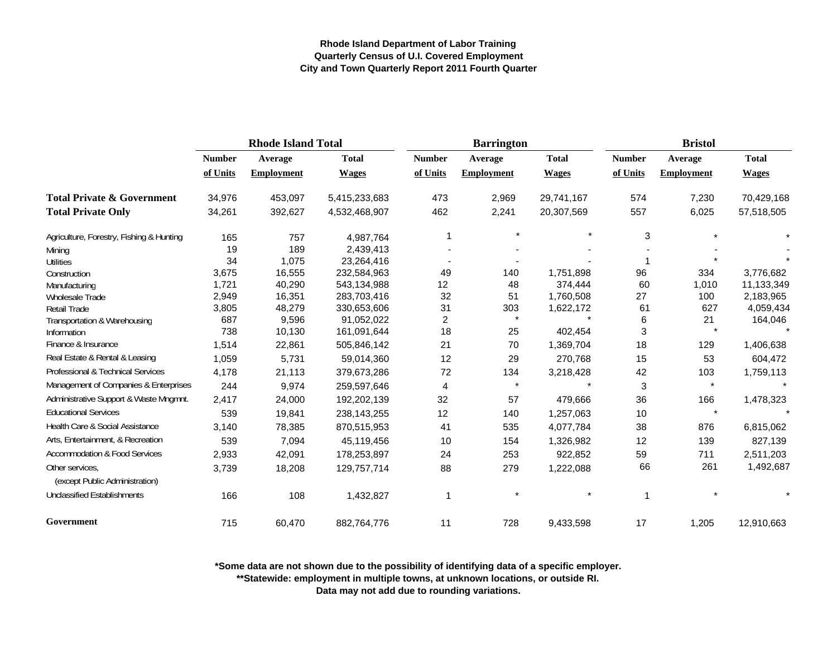|                                                   | <b>Rhode Island Total</b> |                   |               |                | <b>Barrington</b> |              | <b>Bristol</b> |                   |              |  |
|---------------------------------------------------|---------------------------|-------------------|---------------|----------------|-------------------|--------------|----------------|-------------------|--------------|--|
|                                                   | <b>Number</b>             | Average           | <b>Total</b>  | <b>Number</b>  | Average           | <b>Total</b> | <b>Number</b>  | Average           | <b>Total</b> |  |
|                                                   | of Units                  | <b>Employment</b> | <b>Wages</b>  | of Units       | <b>Employment</b> | <b>Wages</b> | of Units       | <b>Employment</b> | <b>Wages</b> |  |
| <b>Total Private &amp; Government</b>             | 34,976                    | 453,097           | 5,415,233,683 | 473            | 2,969             | 29,741,167   | 574            | 7,230             | 70,429,168   |  |
| <b>Total Private Only</b>                         | 34,261                    | 392,627           | 4,532,468,907 | 462            | 2,241             | 20,307,569   | 557            | 6,025             | 57,518,505   |  |
| Agriculture, Forestry, Fishing & Hunting          | 165                       | 757               | 4,987,764     |                |                   |              | 3              |                   |              |  |
| Mining                                            | 19                        | 189               | 2,439,413     |                |                   |              |                |                   |              |  |
| <b>Utilities</b>                                  | 34                        | 1,075             | 23,264,416    |                |                   |              |                |                   |              |  |
| Construction                                      | 3,675                     | 16,555            | 232,584,963   | 49             | 140               | 1,751,898    | 96             | 334               | 3,776,682    |  |
| Manufacturing                                     | 1,721                     | 40,290            | 543,134,988   | 12             | 48                | 374,444      | 60             | 1,010             | 11,133,349   |  |
| Wholesale Trade                                   | 2,949                     | 16,351            | 283,703,416   | 32             | 51                | 1,760,508    | 27             | 100               | 2,183,965    |  |
| <b>Retail Trade</b>                               | 3,805                     | 48,279            | 330,653,606   | 31             | 303               | 1,622,172    | 61             | 627               | 4,059,434    |  |
| Transportation & Warehousing                      | 687                       | 9,596             | 91,052,022    | $\overline{c}$ | $\star$           |              | 6              | 21                | 164,046      |  |
| Information                                       | 738                       | 10,130            | 161,091,644   | 18             | 25                | 402,454      | 3              |                   |              |  |
| Finance & Insurance                               | 1,514                     | 22,861            | 505,846,142   | 21             | 70                | 1,369,704    | 18             | 129               | 1,406,638    |  |
| Real Estate & Rental & Leasing                    | 1,059                     | 5,731             | 59,014,360    | 12             | 29                | 270,768      | 15             | 53                | 604,472      |  |
| Professional & Technical Services                 | 4,178                     | 21,113            | 379,673,286   | 72             | 134               | 3,218,428    | 42             | 103               | 1,759,113    |  |
| Management of Companies & Enterprises             | 244                       | 9,974             | 259,597,646   | 4              | $\star$           |              | 3              | $\star$           |              |  |
| Administrative Support & Waste Mngmnt.            | 2,417                     | 24,000            | 192,202,139   | 32             | 57                | 479,666      | 36             | 166               | 1,478,323    |  |
| <b>Educational Services</b>                       | 539                       | 19,841            | 238, 143, 255 | 12             | 140               | 1,257,063    | 10             | $\star$           |              |  |
| Health Care & Social Assistance                   | 3,140                     | 78,385            | 870,515,953   | 41             | 535               | 4,077,784    | 38             | 876               | 6,815,062    |  |
| Arts, Entertainment, & Recreation                 | 539                       | 7,094             | 45,119,456    | 10             | 154               | 1,326,982    | 12             | 139               | 827,139      |  |
| <b>Accommodation &amp; Food Services</b>          | 2,933                     | 42,091            | 178,253,897   | 24             | 253               | 922,852      | 59             | 711               | 2,511,203    |  |
| Other services.<br>(except Public Administration) | 3,739                     | 18,208            | 129,757,714   | 88             | 279               | 1,222,088    | 66             | 261               | 1,492,687    |  |
| <b>Unclassified Establishments</b>                | 166                       | 108               | 1,432,827     | 1              |                   |              | $\mathbf 1$    |                   |              |  |
| Government                                        | 715                       | 60,470            | 882,764,776   | 11             | 728               | 9,433,598    | 17             | 1,205             | 12,910,663   |  |

**\*Some data are not shown due to the possibility of identifying data of a specific employer.**

**\*\*Statewide: employment in multiple towns, at unknown locations, or outside RI.**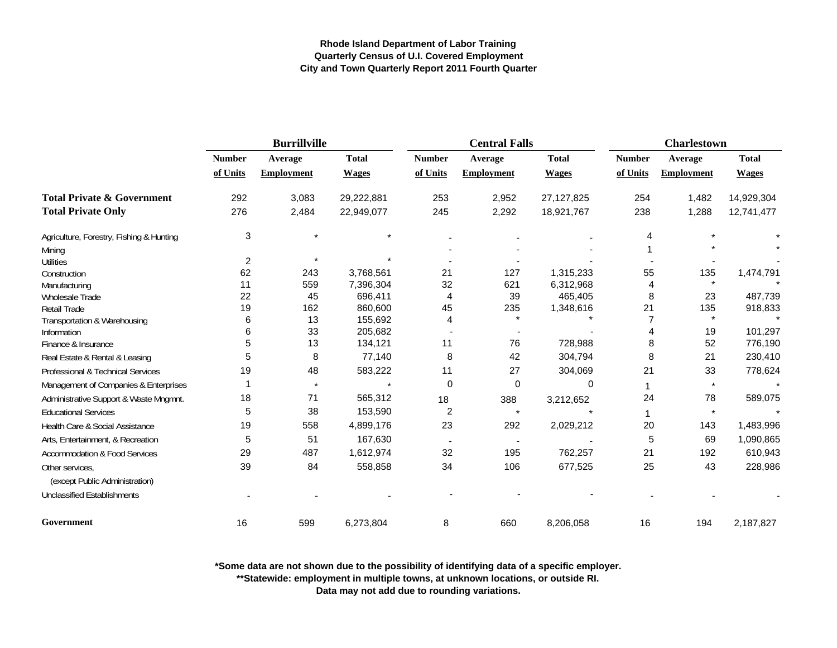|                                          |                | <b>Burrillville</b> |                    |                | <b>Central Falls</b> |              | <b>Charlestown</b> |                   |                    |
|------------------------------------------|----------------|---------------------|--------------------|----------------|----------------------|--------------|--------------------|-------------------|--------------------|
|                                          | <b>Number</b>  | Average             | <b>Total</b>       | <b>Number</b>  | Average              | <b>Total</b> | <b>Number</b>      | Average           | <b>Total</b>       |
|                                          | of Units       | <b>Employment</b>   | <b>Wages</b>       | of Units       | <b>Employment</b>    | <b>Wages</b> | of Units           | <b>Employment</b> | <b>Wages</b>       |
| <b>Total Private &amp; Government</b>    | 292            | 3,083               | 29,222,881         | 253            | 2,952                | 27, 127, 825 | 254                | 1,482             | 14,929,304         |
| <b>Total Private Only</b>                | 276            | 2,484               | 22,949,077         | 245            | 2,292                | 18,921,767   | 238                | 1,288             | 12,741,477         |
| Agriculture, Forestry, Fishing & Hunting | 3              |                     | $\star$            |                |                      |              | 4                  |                   |                    |
| Mining                                   |                |                     |                    |                |                      |              |                    |                   |                    |
| <b>Utilities</b>                         | $\overline{c}$ |                     |                    |                |                      |              |                    |                   |                    |
| Construction                             | 62             | 243                 | 3,768,561          | 21             | 127                  | 1,315,233    | 55                 | 135               | 1,474,791          |
| Manufacturing                            | 11             | 559                 | 7,396,304          | 32             | 621                  | 6,312,968    | 4                  | $\star$           |                    |
| <b>Wholesale Trade</b>                   | 22             | 45                  | 696,411            | 4              | 39                   | 465,405      | 8                  | 23                | 487,739            |
| Retail Trade                             | 19             | 162                 | 860,600            | 45             | 235                  | 1,348,616    | 21                 | 135               | 918,833            |
| Transportation & Warehousing             | 6              | 13                  | 155,692            | 4              |                      |              |                    |                   |                    |
| Information                              | 6<br>5         | 33<br>13            | 205,682<br>134,121 | 11             | 76                   | 728,988      | 8                  | 19<br>52          | 101,297<br>776,190 |
| Finance & Insurance                      |                |                     |                    |                |                      |              |                    |                   |                    |
| Real Estate & Rental & Leasing           | 5              | 8                   | 77,140             | 8              | 42                   | 304,794      | 8                  | 21                | 230,410            |
| Professional & Technical Services        | 19             | 48                  | 583,222            | 11             | 27                   | 304,069      | 21                 | 33                | 778,624            |
| Management of Companies & Enterprises    |                | $\star$             |                    | 0              | 0                    | $\Omega$     | 1                  | $\star$           |                    |
| Administrative Support & Waste Mngmnt.   | 18             | 71                  | 565,312            | 18             | 388                  | 3,212,652    | 24                 | 78                | 589,075            |
| <b>Educational Services</b>              | 5              | 38                  | 153,590            | $\overline{2}$ | $\star$              |              |                    | $\star$           |                    |
| Health Care & Social Assistance          | 19             | 558                 | 4,899,176          | 23             | 292                  | 2,029,212    | 20                 | 143               | 1,483,996          |
| Arts, Entertainment, & Recreation        | 5              | 51                  | 167,630            |                |                      |              | 5                  | 69                | 1,090,865          |
| <b>Accommodation &amp; Food Services</b> | 29             | 487                 | 1,612,974          | 32             | 195                  | 762,257      | 21                 | 192               | 610,943            |
| Other services,                          | 39             | 84                  | 558,858            | 34             | 106                  | 677,525      | 25                 | 43                | 228,986            |
| (except Public Administration)           |                |                     |                    |                |                      |              |                    |                   |                    |
| <b>Unclassified Establishments</b>       |                |                     |                    |                |                      |              |                    |                   |                    |
| Government                               | 16             | 599                 | 6,273,804          | 8              | 660                  | 8,206,058    | 16                 | 194               | 2,187,827          |

**\*Some data are not shown due to the possibility of identifying data of a specific employer.**

**\*\*Statewide: employment in multiple towns, at unknown locations, or outside RI.**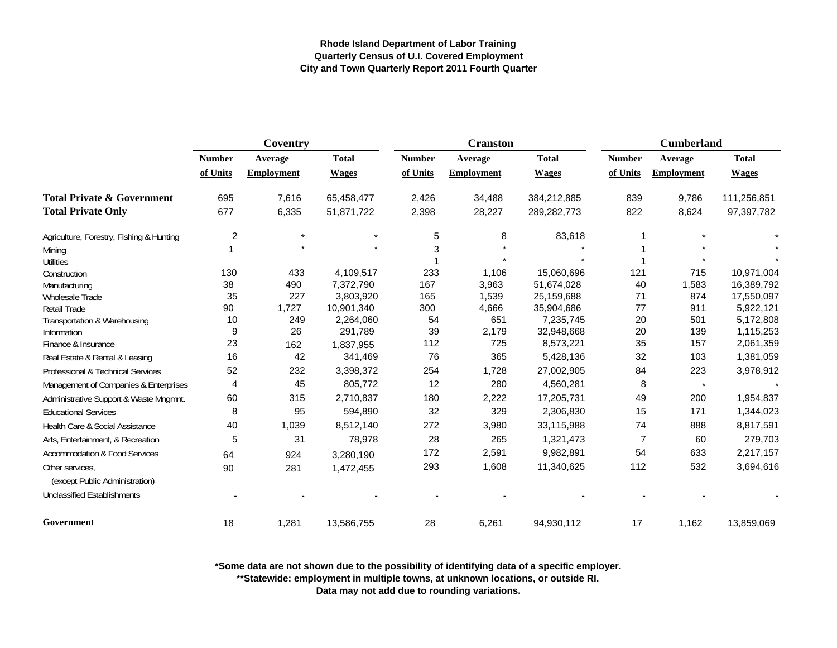|                                                   | Coventry       |                   |              |               | <b>Cranston</b>   |              | <b>Cumberland</b> |                   |              |
|---------------------------------------------------|----------------|-------------------|--------------|---------------|-------------------|--------------|-------------------|-------------------|--------------|
|                                                   | <b>Number</b>  | Average           | <b>Total</b> | <b>Number</b> | Average           | <b>Total</b> | <b>Number</b>     | Average           | <b>Total</b> |
|                                                   | of Units       | <b>Employment</b> | <b>Wages</b> | of Units      | <b>Employment</b> | <b>Wages</b> | of Units          | <b>Employment</b> | <b>Wages</b> |
| <b>Total Private &amp; Government</b>             | 695            | 7,616             | 65,458,477   | 2,426         | 34,488            | 384,212,885  | 839               | 9,786             | 111,256,851  |
| <b>Total Private Only</b>                         | 677            | 6,335             | 51,871,722   | 2,398         | 28,227            | 289,282,773  | 822               | 8,624             | 97,397,782   |
| Agriculture, Forestry, Fishing & Hunting          | $\overline{c}$ | $\star$           |              | 5             | 8                 | 83,618       |                   |                   |              |
| Mining                                            |                |                   |              | 3             |                   |              |                   |                   |              |
| <b>Utilities</b>                                  |                |                   |              |               |                   |              |                   |                   |              |
| Construction                                      | 130            | 433               | 4,109,517    | 233           | 1,106             | 15,060,696   | 121               | 715               | 10,971,004   |
| Manufacturing                                     | 38             | 490               | 7,372,790    | 167           | 3,963             | 51,674,028   | 40                | 1,583             | 16,389,792   |
| Wholesale Trade                                   | 35             | 227               | 3,803,920    | 165           | 1,539             | 25,159,688   | 71                | 874               | 17,550,097   |
| <b>Retail Trade</b>                               | 90             | 1,727             | 10,901,340   | 300           | 4,666             | 35,904,686   | 77                | 911               | 5,922,121    |
| Transportation & Warehousing                      | 10             | 249               | 2,264,060    | 54            | 651               | 7,235,745    | 20                | 501               | 5,172,808    |
| Information                                       | 9              | 26                | 291,789      | 39            | 2,179             | 32,948,668   | 20                | 139               | 1,115,253    |
| Finance & Insurance                               | 23             | 162               | 1,837,955    | 112           | 725               | 8,573,221    | 35                | 157               | 2,061,359    |
| Real Estate & Rental & Leasing                    | 16             | 42                | 341,469      | 76            | 365               | 5,428,136    | 32                | 103               | 1,381,059    |
| <b>Professional &amp; Technical Services</b>      | 52             | 232               | 3,398,372    | 254           | 1,728             | 27,002,905   | 84                | 223               | 3,978,912    |
| Management of Companies & Enterprises             | 4              | 45                | 805,772      | 12            | 280               | 4,560,281    | 8                 | $\star$           |              |
| Administrative Support & Waste Mngmnt.            | 60             | 315               | 2,710,837    | 180           | 2,222             | 17,205,731   | 49                | 200               | 1,954,837    |
| <b>Educational Services</b>                       | 8              | 95                | 594,890      | 32            | 329               | 2,306,830    | 15                | 171               | 1,344,023    |
| Health Care & Social Assistance                   | 40             | 1,039             | 8,512,140    | 272           | 3,980             | 33,115,988   | 74                | 888               | 8,817,591    |
| Arts, Entertainment, & Recreation                 | 5              | 31                | 78,978       | 28            | 265               | 1,321,473    | $\overline{7}$    | 60                | 279,703      |
| <b>Accommodation &amp; Food Services</b>          | 64             | 924               | 3,280,190    | 172           | 2,591             | 9,982,891    | 54                | 633               | 2,217,157    |
| Other services,<br>(except Public Administration) | 90             | 281               | 1,472,455    | 293           | 1,608             | 11,340,625   | 112               | 532               | 3,694,616    |
| <b>Unclassified Establishments</b>                |                |                   |              |               |                   |              |                   |                   |              |
| Government                                        | 18             | 1,281             | 13,586,755   | 28            | 6,261             | 94,930,112   | 17                | 1,162             | 13,859,069   |

**\*Some data are not shown due to the possibility of identifying data of a specific employer.**

**\*\*Statewide: employment in multiple towns, at unknown locations, or outside RI.**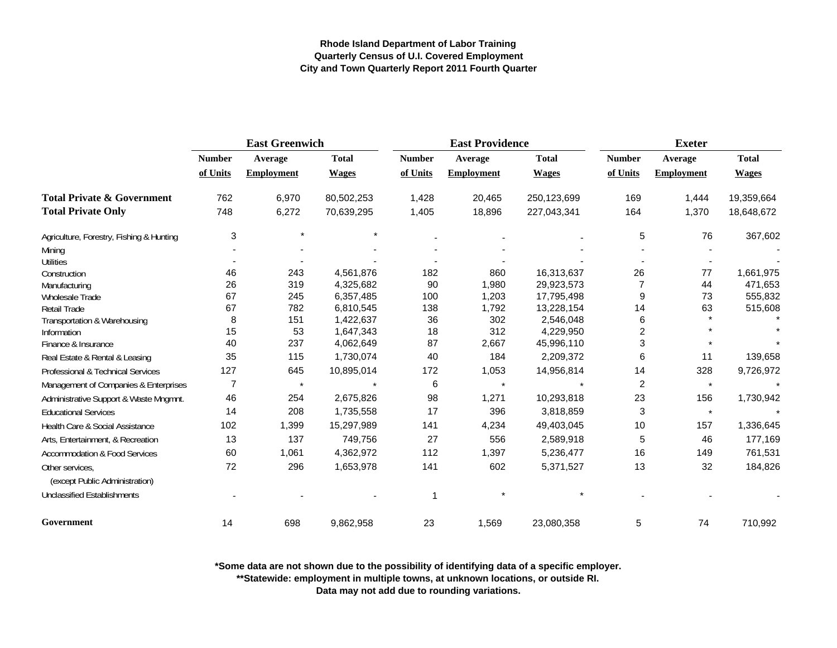|                                          | <b>East Greenwich</b> |                   |              |               | <b>East Providence</b> |              | <b>Exeter</b>    |                   |              |
|------------------------------------------|-----------------------|-------------------|--------------|---------------|------------------------|--------------|------------------|-------------------|--------------|
|                                          | <b>Number</b>         | Average           | <b>Total</b> | <b>Number</b> | Average                | <b>Total</b> | <b>Number</b>    | Average           | <b>Total</b> |
|                                          | of Units              | <b>Employment</b> | <b>Wages</b> | of Units      | <b>Employment</b>      | <b>Wages</b> | of Units         | <b>Employment</b> | <b>Wages</b> |
| <b>Total Private &amp; Government</b>    | 762                   | 6,970             | 80,502,253   | 1,428         | 20,465                 | 250,123,699  | 169              | 1,444             | 19,359,664   |
| <b>Total Private Only</b>                | 748                   | 6,272             | 70,639,295   | 1,405         | 18,896                 | 227,043,341  | 164              | 1,370             | 18,648,672   |
| Agriculture, Forestry, Fishing & Hunting | 3                     | $\star$           |              |               |                        |              | 5                | 76                | 367,602      |
| Mining                                   |                       |                   |              |               |                        |              |                  |                   |              |
| <b>Utilities</b>                         |                       |                   |              |               |                        |              |                  |                   |              |
| Construction                             | 46                    | 243               | 4,561,876    | 182           | 860                    | 16,313,637   | 26               | 77                | 1,661,975    |
| Manufacturing                            | 26                    | 319               | 4,325,682    | 90            | 1,980                  | 29,923,573   | 7                | 44                | 471,653      |
| Wholesale Trade                          | 67                    | 245               | 6,357,485    | 100           | 1,203                  | 17,795,498   | 9                | 73                | 555,832      |
| Retail Trade                             | 67                    | 782               | 6,810,545    | 138           | 1,792                  | 13,228,154   | 14               | 63                | 515,608      |
| Transportation & Warehousing             | 8                     | 151               | 1,422,637    | 36            | 302                    | 2,546,048    | 6                |                   |              |
| Information                              | 15                    | 53                | 1,647,343    | 18            | 312                    | 4,229,950    | $\boldsymbol{2}$ |                   |              |
| Finance & Insurance                      | 40                    | 237               | 4,062,649    | 87            | 2,667                  | 45,996,110   | 3                |                   |              |
| Real Estate & Rental & Leasing           | 35                    | 115               | 1,730,074    | 40            | 184                    | 2,209,372    | 6                | 11                | 139,658      |
| Professional & Technical Services        | 127                   | 645               | 10,895,014   | 172           | 1,053                  | 14,956,814   | 14               | 328               | 9,726,972    |
| Management of Companies & Enterprises    | $\overline{7}$        | $\star$           |              | 6             | $\star$                |              | 2                | $\star$           |              |
| Administrative Support & Waste Mngmnt.   | 46                    | 254               | 2,675,826    | 98            | 1,271                  | 10,293,818   | 23               | 156               | 1,730,942    |
| <b>Educational Services</b>              | 14                    | 208               | 1,735,558    | 17            | 396                    | 3,818,859    | 3                | $\pmb{\star}$     |              |
| Health Care & Social Assistance          | 102                   | 1,399             | 15,297,989   | 141           | 4,234                  | 49,403,045   | 10               | 157               | 1,336,645    |
| Arts, Entertainment, & Recreation        | 13                    | 137               | 749,756      | 27            | 556                    | 2,589,918    | 5                | 46                | 177,169      |
| Accommodation & Food Services            | 60                    | 1,061             | 4,362,972    | 112           | 1,397                  | 5,236,477    | 16               | 149               | 761,531      |
| Other services,                          | 72                    | 296               | 1,653,978    | 141           | 602                    | 5,371,527    | 13               | 32                | 184,826      |
| (except Public Administration)           |                       |                   |              |               |                        |              |                  |                   |              |
| <b>Unclassified Establishments</b>       |                       |                   |              | 1             |                        |              |                  |                   |              |
| Government                               | 14                    | 698               | 9,862,958    | 23            | 1,569                  | 23,080,358   | 5                | 74                | 710,992      |

**\*Some data are not shown due to the possibility of identifying data of a specific employer.**

**\*\*Statewide: employment in multiple towns, at unknown locations, or outside RI.**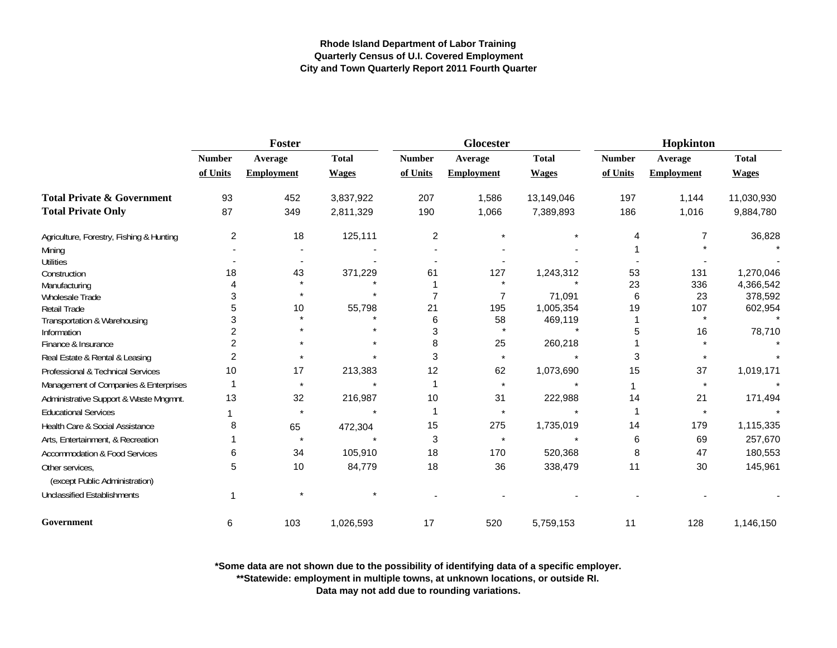|                                                   | <b>Foster</b>           |                   |              |               | <b>Glocester</b>  |              | Hopkinton     |                   |              |
|---------------------------------------------------|-------------------------|-------------------|--------------|---------------|-------------------|--------------|---------------|-------------------|--------------|
|                                                   | <b>Number</b>           | Average           | <b>Total</b> | <b>Number</b> | Average           | <b>Total</b> | <b>Number</b> | Average           | <b>Total</b> |
|                                                   | of Units                | <b>Employment</b> | <b>Wages</b> | of Units      | <b>Employment</b> | <b>Wages</b> | of Units      | <b>Employment</b> | <b>Wages</b> |
| <b>Total Private &amp; Government</b>             | 93                      | 452               | 3,837,922    | 207           | 1,586             | 13,149,046   | 197           | 1,144             | 11,030,930   |
| <b>Total Private Only</b>                         | 87                      | 349               | 2,811,329    | 190           | 1,066             | 7,389,893    | 186           | 1,016             | 9,884,780    |
| Agriculture, Forestry, Fishing & Hunting          | $\overline{\mathbf{c}}$ | 18                | 125,111      | 2             |                   |              |               |                   | 36,828       |
| Mining                                            |                         |                   |              |               |                   |              |               |                   |              |
| <b>Utilities</b>                                  |                         |                   |              |               |                   |              |               |                   |              |
| Construction                                      | 18                      | 43                | 371,229      | 61            | 127               | 1,243,312    | 53            | 131               | 1,270,046    |
| Manufacturing                                     |                         |                   |              |               |                   |              | 23            | 336               | 4,366,542    |
| Wholesale Trade                                   | 3                       |                   |              |               | 7                 | 71,091       | 6             | 23                | 378,592      |
| Retail Trade                                      |                         | 10                | 55,798       | 21            | 195               | 1,005,354    | 19            | 107               | 602,954      |
| Transportation & Warehousing                      | 3                       |                   |              | 6             | 58                | 469,119      |               | $\star$           |              |
| Information                                       |                         |                   |              | 3             |                   |              |               | 16                | 78,710       |
| Finance & Insurance                               | 2                       |                   |              | 8             | 25                | 260,218      |               |                   |              |
| Real Estate & Rental & Leasing                    | $\overline{2}$          |                   |              | 3             | $\star$           |              | 3             |                   |              |
| Professional & Technical Services                 | 10                      | 17                | 213,383      | 12            | 62                | 1,073,690    | 15            | 37                | 1,019,171    |
| Management of Companies & Enterprises             |                         | $\star$           |              |               | $\star$           |              |               |                   |              |
| Administrative Support & Waste Mngmnt.            | 13                      | 32                | 216,987      | 10            | 31                | 222,988      | 14            | 21                | 171,494      |
| <b>Educational Services</b>                       |                         | $\star$           |              |               |                   |              |               |                   |              |
| Health Care & Social Assistance                   | 8                       | 65                | 472,304      | 15            | 275               | 1,735,019    | 14            | 179               | 1,115,335    |
| Arts, Entertainment, & Recreation                 |                         |                   |              | 3             | $\star$           |              | 6             | 69                | 257,670      |
| Accommodation & Food Services                     | 6                       | 34                | 105,910      | 18            | 170               | 520,368      | 8             | 47                | 180,553      |
| Other services.<br>(except Public Administration) | 5                       | 10                | 84,779       | 18            | 36                | 338,479      | 11            | 30                | 145,961      |
| <b>Unclassified Establishments</b>                |                         |                   |              |               |                   |              |               |                   |              |
| Government                                        | 6                       | 103               | 1,026,593    | 17            | 520               | 5,759,153    | 11            | 128               | 1,146,150    |

**\*Some data are not shown due to the possibility of identifying data of a specific employer.**

**\*\*Statewide: employment in multiple towns, at unknown locations, or outside RI.**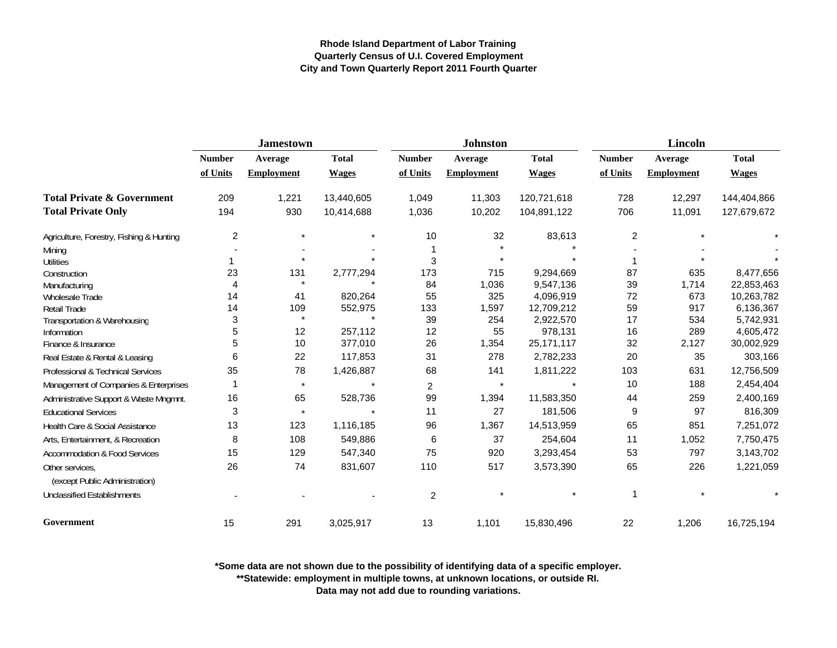|                                                   |                | <b>Jamestown</b>  |              |                | <b>Johnston</b>   |              | Lincoln        |                   |              |
|---------------------------------------------------|----------------|-------------------|--------------|----------------|-------------------|--------------|----------------|-------------------|--------------|
|                                                   | <b>Number</b>  | Average           | <b>Total</b> | <b>Number</b>  | Average           | <b>Total</b> | <b>Number</b>  | Average           | <b>Total</b> |
|                                                   | of Units       | <b>Employment</b> | <b>Wages</b> | of Units       | <b>Employment</b> | <b>Wages</b> | of Units       | <b>Employment</b> | <b>Wages</b> |
| <b>Total Private &amp; Government</b>             | 209            | 1,221             | 13,440,605   | 1,049          | 11,303            | 120,721,618  | 728            | 12,297            | 144,404,866  |
| <b>Total Private Only</b>                         | 194            | 930               | 10,414,688   | 1,036          | 10,202            | 104,891,122  | 706            | 11,091            | 127,679,672  |
| Agriculture, Forestry, Fishing & Hunting          | $\overline{c}$ | $\ast$            |              | 10             | 32                | 83,613       | $\overline{c}$ |                   |              |
| Mining                                            |                |                   |              |                |                   |              |                |                   |              |
| <b>Utilities</b>                                  |                | $\star$           |              | 3              | $\star$           |              |                |                   |              |
| Construction                                      | 23             | 131               | 2,777,294    | 173            | 715               | 9,294,669    | 87             | 635               | 8,477,656    |
| Manufacturing                                     | 4              | $\star$           |              | 84             | 1,036             | 9,547,136    | 39             | 1,714             | 22,853,463   |
| Wholesale Trade                                   | 14             | 41                | 820,264      | 55             | 325               | 4,096,919    | 72             | 673               | 10,263,782   |
| <b>Retail Trade</b>                               | 14             | 109               | 552,975      | 133            | 1,597             | 12,709,212   | 59             | 917               | 6,136,367    |
| Transportation & Warehousing                      | 3              | $\star$           |              | 39             | 254               | 2,922,570    | 17             | 534               | 5,742,931    |
| Information                                       | 5              | 12                | 257,112      | 12             | 55                | 978,131      | 16             | 289               | 4,605,472    |
| Finance & Insurance                               | 5              | 10                | 377,010      | 26             | 1,354             | 25, 171, 117 | 32             | 2,127             | 30,002,929   |
| Real Estate & Rental & Leasing                    | 6              | 22                | 117,853      | 31             | 278               | 2,782,233    | 20             | 35                | 303,166      |
| Professional & Technical Services                 | 35             | 78                | 1,426,887    | 68             | 141               | 1,811,222    | 103            | 631               | 12,756,509   |
| Management of Companies & Enterprises             |                | $\star$           |              | $\overline{2}$ | $\star$           |              | 10             | 188               | 2,454,404    |
| Administrative Support & Waste Mngmnt.            | 16             | 65                | 528,736      | 99             | 1,394             | 11,583,350   | 44             | 259               | 2,400,169    |
| <b>Educational Services</b>                       | 3              | $\star$           | $\star$      | 11             | 27                | 181,506      | 9              | 97                | 816,309      |
| Health Care & Social Assistance                   | 13             | 123               | 1,116,185    | 96             | 1,367             | 14,513,959   | 65             | 851               | 7,251,072    |
| Arts, Entertainment, & Recreation                 | 8              | 108               | 549,886      | 6              | 37                | 254,604      | 11             | 1,052             | 7,750,475    |
| <b>Accommodation &amp; Food Services</b>          | 15             | 129               | 547,340      | 75             | 920               | 3,293,454    | 53             | 797               | 3,143,702    |
| Other services,<br>(except Public Administration) | 26             | 74                | 831,607      | 110            | 517               | 3,573,390    | 65             | 226               | 1,221,059    |
| <b>Unclassified Establishments</b>                |                |                   |              | 2              |                   |              |                |                   |              |
| Government                                        | 15             | 291               | 3,025,917    | 13             | 1,101             | 15,830,496   | 22             | 1,206             | 16,725,194   |

**\*Some data are not shown due to the possibility of identifying data of a specific employer.**

**\*\*Statewide: employment in multiple towns, at unknown locations, or outside RI.**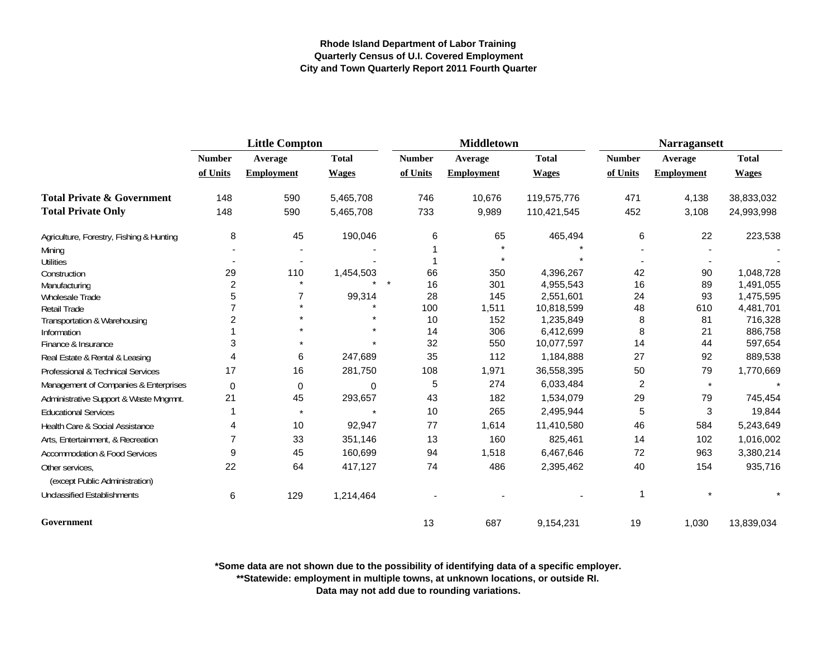|                                                   | <b>Little Compton</b> |                   |              |               | <b>Middletown</b> |              | <b>Narragansett</b> |                   |              |
|---------------------------------------------------|-----------------------|-------------------|--------------|---------------|-------------------|--------------|---------------------|-------------------|--------------|
|                                                   | <b>Number</b>         | Average           | <b>Total</b> | <b>Number</b> | Average           | <b>Total</b> | <b>Number</b>       | Average           | <b>Total</b> |
|                                                   | of Units              | <b>Employment</b> | <b>Wages</b> | of Units      | <b>Employment</b> | <b>Wages</b> | of Units            | <b>Employment</b> | <b>Wages</b> |
| <b>Total Private &amp; Government</b>             | 148                   | 590               | 5,465,708    | 746           | 10,676            | 119,575,776  | 471                 | 4,138             | 38,833,032   |
| <b>Total Private Only</b>                         | 148                   | 590               | 5,465,708    | 733           | 9,989             | 110,421,545  | 452                 | 3,108             | 24,993,998   |
| Agriculture, Forestry, Fishing & Hunting          | 8                     | 45                | 190,046      | 6             | 65                | 465,494      | 6                   | 22                | 223,538      |
| Mining                                            |                       |                   |              |               |                   |              |                     |                   |              |
| <b>Utilities</b>                                  |                       |                   |              |               | $\star$           |              |                     |                   |              |
| Construction                                      | 29                    | 110               | 1,454,503    | 66            | 350               | 4,396,267    | 42                  | 90                | 1,048,728    |
| Manufacturing                                     | 2                     |                   |              | 16            | 301               | 4,955,543    | 16                  | 89                | 1,491,055    |
| Wholesale Trade                                   | 5                     |                   | 99,314       | 28            | 145               | 2,551,601    | 24                  | 93                | 1,475,595    |
| <b>Retail Trade</b>                               |                       |                   |              | 100           | 1,511             | 10,818,599   | 48                  | 610               | 4,481,701    |
| Transportation & Warehousing                      | 2                     |                   |              | 10            | 152               | 1,235,849    | 8                   | 81                | 716,328      |
| Information                                       |                       |                   |              | 14            | 306               | 6,412,699    | 8                   | 21                | 886,758      |
| Finance & Insurance                               | 3                     |                   |              | 32            | 550               | 10,077,597   | 14                  | 44                | 597,654      |
| Real Estate & Rental & Leasing                    |                       | 6                 | 247,689      | 35            | 112               | 1,184,888    | 27                  | 92                | 889,538      |
| Professional & Technical Services                 | 17                    | 16                | 281,750      | 108           | 1,971             | 36,558,395   | 50                  | 79                | 1,770,669    |
| Management of Companies & Enterprises             | 0                     | 0                 | 0            | 5             | 274               | 6,033,484    | $\overline{c}$      | $\star$           |              |
| Administrative Support & Waste Mngmnt.            | 21                    | 45                | 293,657      | 43            | 182               | 1,534,079    | 29                  | 79                | 745,454      |
| <b>Educational Services</b>                       |                       |                   |              | 10            | 265               | 2,495,944    | 5                   | 3                 | 19,844       |
| Health Care & Social Assistance                   | 4                     | 10                | 92,947       | 77            | 1,614             | 11,410,580   | 46                  | 584               | 5,243,649    |
| Arts, Entertainment, & Recreation                 |                       | 33                | 351,146      | 13            | 160               | 825,461      | 14                  | 102               | 1,016,002    |
| <b>Accommodation &amp; Food Services</b>          | 9                     | 45                | 160,699      | 94            | 1,518             | 6,467,646    | 72                  | 963               | 3,380,214    |
| Other services.<br>(except Public Administration) | 22                    | 64                | 417,127      | 74            | 486               | 2,395,462    | 40                  | 154               | 935,716      |
| <b>Unclassified Establishments</b>                | 6                     | 129               | 1,214,464    |               |                   |              | 1                   |                   |              |
| Government                                        |                       |                   |              | 13            | 687               | 9,154,231    | 19                  | 1,030             | 13,839,034   |

**\*Some data are not shown due to the possibility of identifying data of a specific employer.**

**\*\*Statewide: employment in multiple towns, at unknown locations, or outside RI.**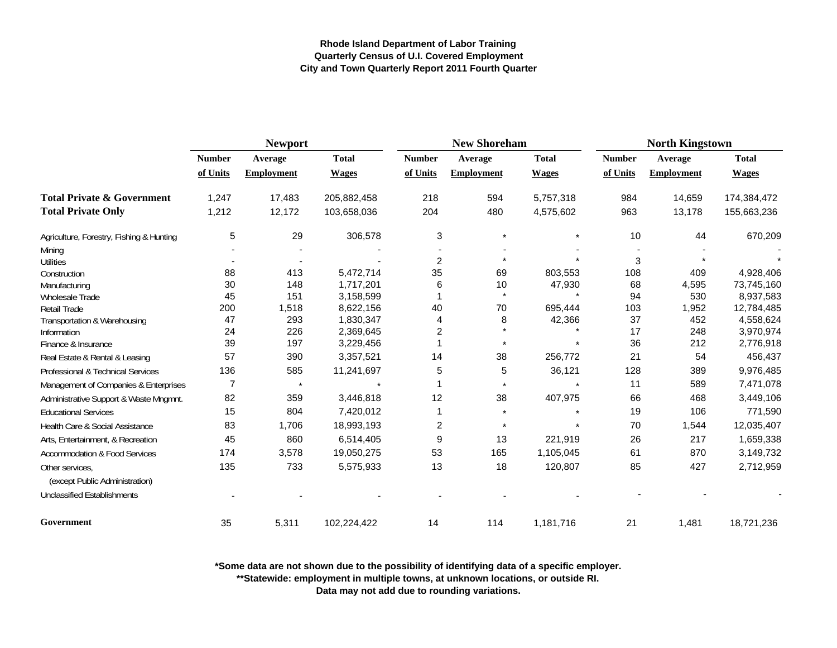|                                          | <b>Newport</b> |                   |              |                | <b>New Shoreham</b> |              | <b>North Kingstown</b> |                   |              |
|------------------------------------------|----------------|-------------------|--------------|----------------|---------------------|--------------|------------------------|-------------------|--------------|
|                                          | <b>Number</b>  | Average           | <b>Total</b> | <b>Number</b>  | Average             | <b>Total</b> | <b>Number</b>          | Average           | <b>Total</b> |
|                                          | of Units       | <b>Employment</b> | <b>Wages</b> | of Units       | <b>Employment</b>   | <b>Wages</b> | of Units               | <b>Employment</b> | <b>Wages</b> |
| <b>Total Private &amp; Government</b>    | 1,247          | 17,483            | 205,882,458  | 218            | 594                 | 5,757,318    | 984                    | 14,659            | 174,384,472  |
| <b>Total Private Only</b>                | 1,212          | 12,172            | 103,658,036  | 204            | 480                 | 4,575,602    | 963                    | 13,178            | 155,663,236  |
| Agriculture, Forestry, Fishing & Hunting | 5              | 29                | 306,578      | 3              | $\star$             |              | 10                     | 44                | 670,209      |
| Mining                                   |                |                   |              |                |                     |              |                        |                   |              |
| <b>Utilities</b>                         |                |                   |              | $\overline{2}$ |                     |              | 3                      |                   |              |
| Construction                             | 88             | 413               | 5,472,714    | 35             | 69                  | 803,553      | 108                    | 409               | 4,928,406    |
| Manufacturing                            | 30             | 148               | 1,717,201    | 6              | 10                  | 47,930       | 68                     | 4,595             | 73,745,160   |
| Wholesale Trade                          | 45             | 151               | 3,158,599    |                | $\star$             |              | 94                     | 530               | 8,937,583    |
| <b>Retail Trade</b>                      | 200            | 1,518             | 8,622,156    | 40             | 70                  | 695,444      | 103                    | 1,952             | 12,784,485   |
| Transportation & Warehousing             | 47             | 293               | 1,830,347    | $\overline{4}$ | 8                   | 42,366       | 37                     | 452               | 4,558,624    |
| Information                              | 24             | 226               | 2,369,645    | $\overline{2}$ |                     |              | 17                     | 248               | 3,970,974    |
| Finance & Insurance                      | 39             | 197               | 3,229,456    |                |                     |              | 36                     | 212               | 2,776,918    |
| Real Estate & Rental & Leasing           | 57             | 390               | 3,357,521    | 14             | 38                  | 256,772      | 21                     | 54                | 456,437      |
| Professional & Technical Services        | 136            | 585               | 11,241,697   | 5              | 5                   | 36,121       | 128                    | 389               | 9,976,485    |
| Management of Companies & Enterprises    | $\overline{7}$ | $\star$           |              |                | $\star$             |              | 11                     | 589               | 7,471,078    |
| Administrative Support & Waste Mngmnt.   | 82             | 359               | 3,446,818    | 12             | 38                  | 407,975      | 66                     | 468               | 3,449,106    |
| <b>Educational Services</b>              | 15             | 804               | 7,420,012    | 1              | $\star$             |              | 19                     | 106               | 771,590      |
| Health Care & Social Assistance          | 83             | 1,706             | 18,993,193   | 2              | $\star$             | $\star$      | 70                     | 1,544             | 12,035,407   |
| Arts, Entertainment, & Recreation        | 45             | 860               | 6,514,405    | 9              | 13                  | 221,919      | 26                     | 217               | 1,659,338    |
| Accommodation & Food Services            | 174            | 3,578             | 19,050,275   | 53             | 165                 | 1,105,045    | 61                     | 870               | 3,149,732    |
| Other services,                          | 135            | 733               | 5,575,933    | 13             | 18                  | 120,807      | 85                     | 427               | 2,712,959    |
| (except Public Administration)           |                |                   |              |                |                     |              |                        |                   |              |
| <b>Unclassified Establishments</b>       |                |                   |              |                |                     |              |                        |                   |              |
| Government                               | 35             | 5,311             | 102,224,422  | 14             | 114                 | 1,181,716    | 21                     | 1,481             | 18,721,236   |

**\*Some data are not shown due to the possibility of identifying data of a specific employer.**

**\*\*Statewide: employment in multiple towns, at unknown locations, or outside RI.**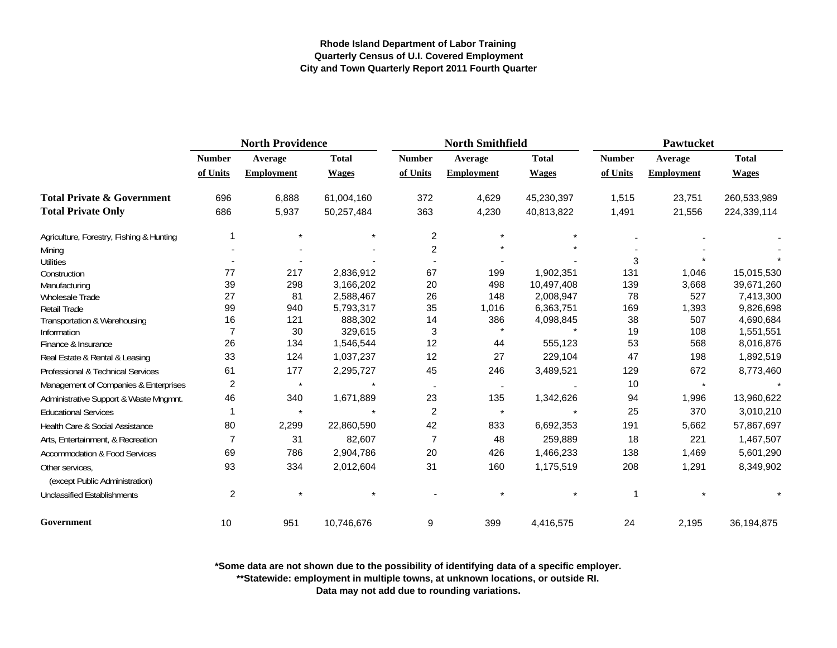|                                                   | <b>North Providence</b> |                   |              |                | <b>North Smithfield</b>  |              | Pawtucket     |                   |              |
|---------------------------------------------------|-------------------------|-------------------|--------------|----------------|--------------------------|--------------|---------------|-------------------|--------------|
|                                                   | <b>Number</b>           | Average           | <b>Total</b> | <b>Number</b>  | Average                  | <b>Total</b> | <b>Number</b> | Average           | <b>Total</b> |
|                                                   | of Units                | <b>Employment</b> | <b>Wages</b> | of Units       | <b>Employment</b>        | <b>Wages</b> | of Units      | <b>Employment</b> | <b>Wages</b> |
| <b>Total Private &amp; Government</b>             | 696                     | 6,888             | 61,004,160   | 372            | 4,629                    | 45,230,397   | 1,515         | 23,751            | 260,533,989  |
| <b>Total Private Only</b>                         | 686                     | 5,937             | 50,257,484   | 363            | 4,230                    | 40,813,822   | 1,491         | 21,556            | 224,339,114  |
| Agriculture, Forestry, Fishing & Hunting          |                         | $\star$           |              | $\overline{c}$ | $\star$                  |              |               |                   |              |
| Mining                                            |                         |                   |              | $\overline{c}$ |                          |              |               |                   |              |
| <b>Utilities</b>                                  |                         |                   |              |                |                          |              | 3             |                   |              |
| Construction                                      | 77                      | 217               | 2,836,912    | 67             | 199                      | 1,902,351    | 131           | 1,046             | 15,015,530   |
| Manufacturing                                     | 39                      | 298               | 3,166,202    | 20             | 498                      | 10,497,408   | 139           | 3,668             | 39,671,260   |
| <b>Wholesale Trade</b>                            | 27                      | 81                | 2,588,467    | 26             | 148                      | 2,008,947    | 78            | 527               | 7,413,300    |
| <b>Retail Trade</b>                               | 99                      | 940               | 5,793,317    | 35             | 1,016                    | 6,363,751    | 169           | 1,393             | 9,826,698    |
| Transportation & Warehousing                      | 16                      | 121               | 888,302      | 14             | 386                      | 4,098,845    | 38            | 507               | 4,690,684    |
| Information                                       | $\overline{7}$          | 30                | 329,615      | $\mathbf{3}$   |                          |              | 19            | 108               | 1,551,551    |
| Finance & Insurance                               | 26                      | 134               | 1,546,544    | 12             | 44                       | 555,123      | 53            | 568               | 8,016,876    |
| Real Estate & Rental & Leasing                    | 33                      | 124               | 1,037,237    | 12             | 27                       | 229,104      | 47            | 198               | 1,892,519    |
| Professional & Technical Services                 | 61                      | 177               | 2,295,727    | 45             | 246                      | 3,489,521    | 129           | 672               | 8,773,460    |
| Management of Companies & Enterprises             | $\overline{2}$          | $\star$           |              |                | $\overline{\phantom{a}}$ |              | 10            | $\star$           |              |
| Administrative Support & Waste Mngmnt.            | 46                      | 340               | 1,671,889    | 23             | 135                      | 1,342,626    | 94            | 1,996             | 13,960,622   |
| <b>Educational Services</b>                       |                         | $\star$           |              | $\overline{2}$ | $\star$                  |              | 25            | 370               | 3,010,210    |
| Health Care & Social Assistance                   | 80                      | 2,299             | 22,860,590   | 42             | 833                      | 6,692,353    | 191           | 5,662             | 57,867,697   |
| Arts, Entertainment, & Recreation                 | 7                       | 31                | 82,607       | $\overline{7}$ | 48                       | 259,889      | 18            | 221               | 1,467,507    |
| <b>Accommodation &amp; Food Services</b>          | 69                      | 786               | 2,904,786    | 20             | 426                      | 1,466,233    | 138           | 1,469             | 5,601,290    |
| Other services,<br>(except Public Administration) | 93                      | 334               | 2,012,604    | 31             | 160                      | 1,175,519    | 208           | 1,291             | 8,349,902    |
| <b>Unclassified Establishments</b>                | $\overline{c}$          |                   |              |                |                          |              |               |                   |              |
| Government                                        | 10                      | 951               | 10,746,676   | 9              | 399                      | 4,416,575    | 24            | 2,195             | 36,194,875   |

**\*Some data are not shown due to the possibility of identifying data of a specific employer.**

**\*\*Statewide: employment in multiple towns, at unknown locations, or outside RI.**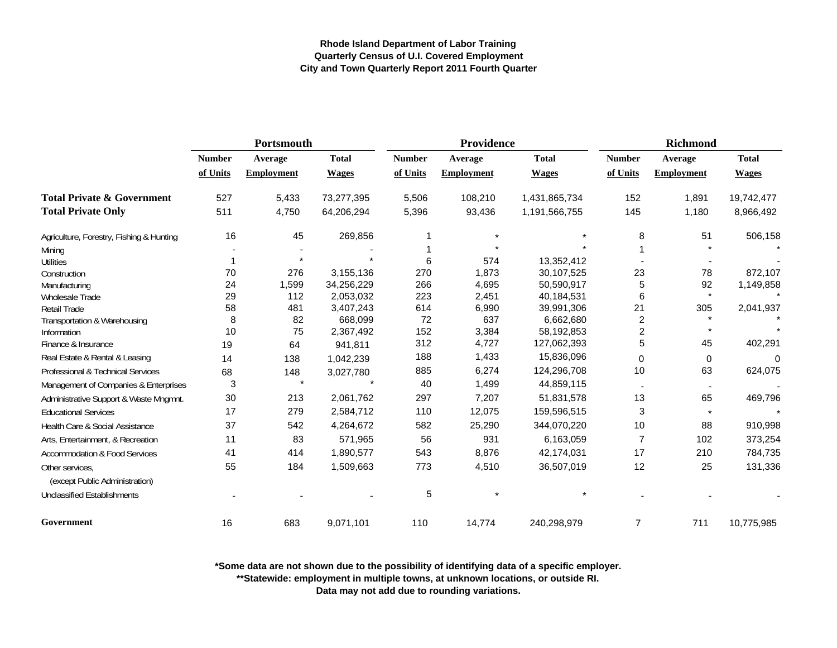|                                                   | Portsmouth    |                   |              |               | Providence        |               | <b>Richmond</b>         |                   |              |
|---------------------------------------------------|---------------|-------------------|--------------|---------------|-------------------|---------------|-------------------------|-------------------|--------------|
|                                                   | <b>Number</b> | Average           | <b>Total</b> | <b>Number</b> | Average           | <b>Total</b>  | <b>Number</b>           | Average           | <b>Total</b> |
|                                                   | of Units      | <b>Employment</b> | <b>Wages</b> | of Units      | <b>Employment</b> | <b>Wages</b>  | of Units                | <b>Employment</b> | <b>Wages</b> |
| <b>Total Private &amp; Government</b>             | 527           | 5,433             | 73,277,395   | 5,506         | 108,210           | 1,431,865,734 | 152                     | 1,891             | 19,742,477   |
| <b>Total Private Only</b>                         | 511           | 4,750             | 64,206,294   | 5,396         | 93,436            | 1,191,566,755 | 145                     | 1,180             | 8,966,492    |
| Agriculture, Forestry, Fishing & Hunting          | 16            | 45                | 269,856      | 1             |                   |               | 8                       | 51                | 506,158      |
| Mining                                            |               |                   |              |               |                   |               |                         |                   |              |
| <b>Utilities</b>                                  |               |                   |              | 6             | 574               | 13,352,412    |                         |                   |              |
| Construction                                      | 70            | 276               | 3,155,136    | 270           | 1,873             | 30,107,525    | 23                      | 78                | 872,107      |
| Manufacturing                                     | 24            | 1,599             | 34,256,229   | 266           | 4,695             | 50,590,917    | 5                       | 92                | 1,149,858    |
| Wholesale Trade                                   | 29            | 112               | 2,053,032    | 223           | 2,451             | 40,184,531    | 6                       | $\star$           |              |
| <b>Retail Trade</b>                               | 58            | 481               | 3,407,243    | 614           | 6,990             | 39,991,306    | 21                      | 305               | 2,041,937    |
| Transportation & Warehousing                      | 8             | 82                | 668,099      | 72            | 637               | 6,662,680     | $\overline{\mathbf{c}}$ |                   |              |
| Information                                       | 10            | 75                | 2,367,492    | 152           | 3,384             | 58,192,853    | $\overline{\mathbf{c}}$ | $\star$           |              |
| Finance & Insurance                               | 19            | 64                | 941,811      | 312           | 4,727             | 127,062,393   | 5                       | 45                | 402,291      |
| Real Estate & Rental & Leasing                    | 14            | 138               | 1,042,239    | 188           | 1,433             | 15,836,096    | 0                       | 0                 | 0            |
| <b>Professional &amp; Technical Services</b>      | 68            | 148               | 3,027,780    | 885           | 6,274             | 124,296,708   | 10                      | 63                | 624,075      |
| Management of Companies & Enterprises             | 3             | $\star$           |              | 40            | 1,499             | 44,859,115    |                         |                   |              |
| Administrative Support & Waste Mngmnt.            | 30            | 213               | 2,061,762    | 297           | 7,207             | 51,831,578    | 13                      | 65                | 469,796      |
| <b>Educational Services</b>                       | 17            | 279               | 2,584,712    | 110           | 12,075            | 159,596,515   | 3                       | $\star$           |              |
| Health Care & Social Assistance                   | 37            | 542               | 4,264,672    | 582           | 25,290            | 344,070,220   | 10                      | 88                | 910,998      |
| Arts, Entertainment, & Recreation                 | 11            | 83                | 571,965      | 56            | 931               | 6,163,059     | $\overline{7}$          | 102               | 373,254      |
| <b>Accommodation &amp; Food Services</b>          | 41            | 414               | 1,890,577    | 543           | 8,876             | 42,174,031    | 17                      | 210               | 784,735      |
| Other services.<br>(except Public Administration) | 55            | 184               | 1,509,663    | 773           | 4,510             | 36,507,019    | 12                      | 25                | 131,336      |
| <b>Unclassified Establishments</b>                |               |                   |              | 5             |                   |               |                         |                   |              |
| Government                                        | 16            | 683               | 9,071,101    | 110           | 14,774            | 240,298,979   | $\overline{7}$          | 711               | 10,775,985   |

**\*Some data are not shown due to the possibility of identifying data of a specific employer.**

**\*\*Statewide: employment in multiple towns, at unknown locations, or outside RI.**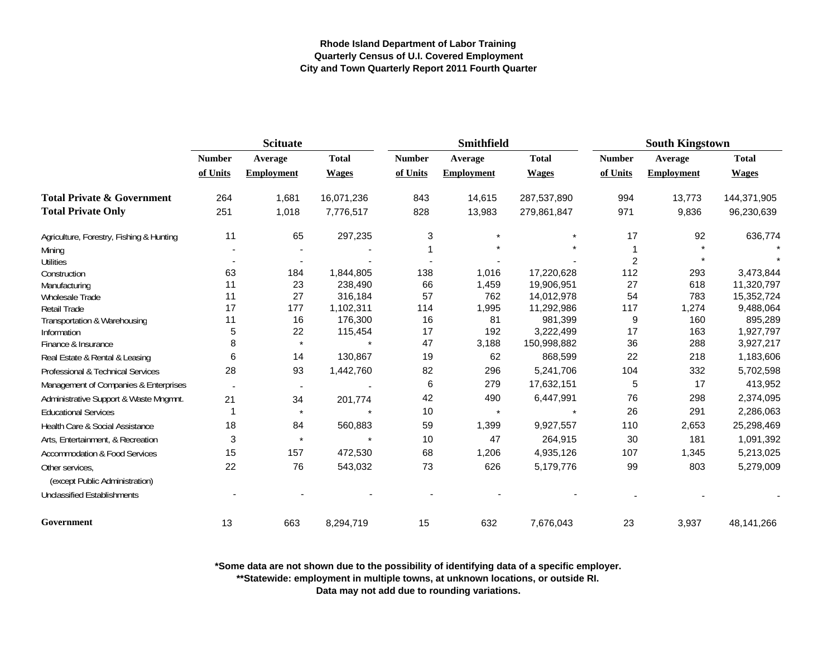|                                                   | <b>Scituate</b> |                          |              |               | <b>Smithfield</b> |              | <b>South Kingstown</b> |                   |              |
|---------------------------------------------------|-----------------|--------------------------|--------------|---------------|-------------------|--------------|------------------------|-------------------|--------------|
|                                                   | <b>Number</b>   | Average                  | <b>Total</b> | <b>Number</b> | Average           | <b>Total</b> | <b>Number</b>          | Average           | <b>Total</b> |
|                                                   | of Units        | <b>Employment</b>        | <b>Wages</b> | of Units      | <b>Employment</b> | <b>Wages</b> | of Units               | <b>Employment</b> | <b>Wages</b> |
| <b>Total Private &amp; Government</b>             | 264             | 1,681                    | 16,071,236   | 843           | 14,615            | 287,537,890  | 994                    | 13,773            | 144,371,905  |
| <b>Total Private Only</b>                         | 251             | 1,018                    | 7,776,517    | 828           | 13,983            | 279,861,847  | 971                    | 9,836             | 96,230,639   |
| Agriculture, Forestry, Fishing & Hunting          | 11              | 65                       | 297,235      | 3             |                   |              | 17                     | 92                | 636,774      |
| Mining                                            |                 |                          |              |               |                   |              |                        |                   |              |
| <b>Utilities</b>                                  |                 |                          |              |               |                   |              | $\overline{c}$         |                   |              |
| Construction                                      | 63              | 184                      | 1,844,805    | 138           | 1,016             | 17,220,628   | 112                    | 293               | 3,473,844    |
| Manufacturing                                     | 11              | 23                       | 238,490      | 66            | 1,459             | 19,906,951   | 27                     | 618               | 11,320,797   |
| Wholesale Trade                                   | 11              | 27                       | 316,184      | 57            | 762               | 14,012,978   | 54                     | 783               | 15,352,724   |
| <b>Retail Trade</b>                               | 17              | 177                      | 1,102,311    | 114           | 1,995             | 11,292,986   | 117                    | 1,274             | 9,488,064    |
| Transportation & Warehousing                      | 11              | 16                       | 176,300      | 16            | 81                | 981,399      | 9                      | 160               | 895,289      |
| Information                                       | 5               | 22                       | 115,454      | 17            | 192               | 3,222,499    | 17                     | 163               | 1,927,797    |
| Finance & Insurance                               | 8               | $\star$                  |              | 47            | 3,188             | 150,998,882  | 36                     | 288               | 3,927,217    |
| Real Estate & Rental & Leasing                    | 6               | 14                       | 130,867      | 19            | 62                | 868,599      | 22                     | 218               | 1,183,606    |
| Professional & Technical Services                 | 28              | 93                       | 1,442,760    | 82            | 296               | 5,241,706    | 104                    | 332               | 5,702,598    |
| Management of Companies & Enterprises             |                 | $\overline{\phantom{a}}$ |              | 6             | 279               | 17,632,151   | 5                      | 17                | 413,952      |
| Administrative Support & Waste Mngmnt.            | 21              | 34                       | 201,774      | 42            | 490               | 6,447,991    | 76                     | 298               | 2,374,095    |
| <b>Educational Services</b>                       | -1              | $\pmb{\star}$            |              | 10            | $\star$           |              | 26                     | 291               | 2,286,063    |
| Health Care & Social Assistance                   | 18              | 84                       | 560,883      | 59            | 1,399             | 9,927,557    | 110                    | 2,653             | 25,298,469   |
| Arts, Entertainment, & Recreation                 | 3               | $\star$                  |              | 10            | 47                | 264,915      | 30                     | 181               | 1,091,392    |
| <b>Accommodation &amp; Food Services</b>          | 15              | 157                      | 472,530      | 68            | 1,206             | 4,935,126    | 107                    | 1,345             | 5,213,025    |
| Other services,<br>(except Public Administration) | 22              | 76                       | 543,032      | 73            | 626               | 5,179,776    | 99                     | 803               | 5,279,009    |
| <b>Unclassified Establishments</b>                |                 |                          |              |               |                   |              |                        |                   |              |
| Government                                        | 13              | 663                      | 8,294,719    | 15            | 632               | 7,676,043    | 23                     | 3,937             | 48,141,266   |

**\*Some data are not shown due to the possibility of identifying data of a specific employer.**

**\*\*Statewide: employment in multiple towns, at unknown locations, or outside RI.**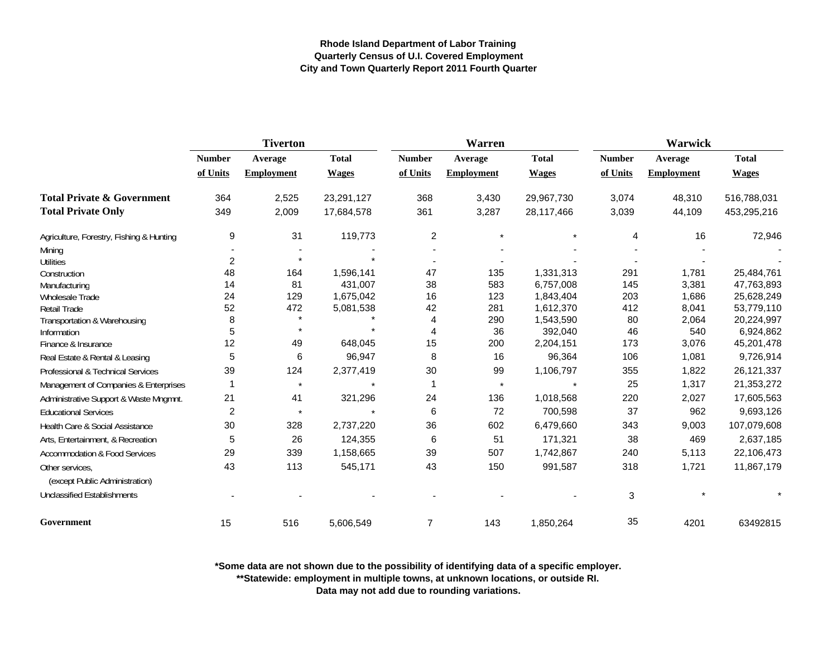|                                          | <b>Tiverton</b> |                   |              |                | Warren            |              | <b>Warwick</b> |                   |              |
|------------------------------------------|-----------------|-------------------|--------------|----------------|-------------------|--------------|----------------|-------------------|--------------|
|                                          | <b>Number</b>   | Average           | <b>Total</b> | <b>Number</b>  | Average           | <b>Total</b> | <b>Number</b>  | Average           | <b>Total</b> |
|                                          | of Units        | <b>Employment</b> | <b>Wages</b> | of Units       | <b>Employment</b> | <b>Wages</b> | of Units       | <b>Employment</b> | <b>Wages</b> |
| <b>Total Private &amp; Government</b>    | 364             | 2,525             | 23,291,127   | 368            | 3,430             | 29,967,730   | 3,074          | 48,310            | 516,788,031  |
| <b>Total Private Only</b>                | 349             | 2,009             | 17,684,578   | 361            | 3,287             | 28,117,466   | 3,039          | 44,109            | 453,295,216  |
| Agriculture, Forestry, Fishing & Hunting | 9               | 31                | 119,773      | $\overline{c}$ | $\star$           |              | 4              | 16                | 72,946       |
| Mining                                   |                 |                   |              |                |                   |              |                |                   |              |
| <b>Utilities</b>                         | $\overline{c}$  |                   |              |                |                   |              |                |                   |              |
| Construction                             | 48              | 164               | 1,596,141    | 47             | 135               | 1,331,313    | 291            | 1,781             | 25,484,761   |
| Manufacturing                            | 14              | 81                | 431,007      | 38             | 583               | 6,757,008    | 145            | 3,381             | 47,763,893   |
| Wholesale Trade                          | 24              | 129               | 1,675,042    | 16             | 123               | 1,843,404    | 203            | 1,686             | 25,628,249   |
| <b>Retail Trade</b>                      | 52              | 472               | 5,081,538    | 42             | 281               | 1,612,370    | 412            | 8,041             | 53,779,110   |
| Transportation & Warehousing             | 8               | $\star$           |              | 4              | 290               | 1,543,590    | 80             | 2,064             | 20,224,997   |
| Information                              | 5               |                   |              | $\overline{4}$ | 36                | 392,040      | 46             | 540               | 6,924,862    |
| Finance & Insurance                      | 12              | 49                | 648,045      | 15             | 200               | 2,204,151    | 173            | 3,076             | 45,201,478   |
| Real Estate & Rental & Leasing           | 5               | 6                 | 96,947       | 8              | 16                | 96,364       | 106            | 1,081             | 9,726,914    |
| Professional & Technical Services        | 39              | 124               | 2,377,419    | 30             | 99                | 1,106,797    | 355            | 1,822             | 26,121,337   |
| Management of Companies & Enterprises    |                 | $\star$           |              | 1              | $\star$           |              | 25             | 1,317             | 21,353,272   |
| Administrative Support & Waste Mngmnt.   | 21              | 41                | 321,296      | 24             | 136               | 1,018,568    | 220            | 2,027             | 17,605,563   |
| <b>Educational Services</b>              | $\overline{c}$  | $\star$           |              | 6              | 72                | 700,598      | 37             | 962               | 9,693,126    |
| Health Care & Social Assistance          | 30              | 328               | 2,737,220    | 36             | 602               | 6,479,660    | 343            | 9,003             | 107,079,608  |
| Arts, Entertainment, & Recreation        | 5               | 26                | 124,355      | 6              | 51                | 171,321      | 38             | 469               | 2,637,185    |
| <b>Accommodation &amp; Food Services</b> | 29              | 339               | 1,158,665    | 39             | 507               | 1,742,867    | 240            | 5,113             | 22,106,473   |
| Other services.                          | 43              | 113               | 545,171      | 43             | 150               | 991,587      | 318            | 1,721             | 11,867,179   |
| (except Public Administration)           |                 |                   |              |                |                   |              |                |                   |              |
| <b>Unclassified Establishments</b>       |                 |                   |              |                |                   |              | 3              |                   |              |
| Government                               | 15              | 516               | 5,606,549    | $\overline{7}$ | 143               | 1,850,264    | 35             | 4201              | 63492815     |

**\*Some data are not shown due to the possibility of identifying data of a specific employer.**

**\*\*Statewide: employment in multiple towns, at unknown locations, or outside RI.**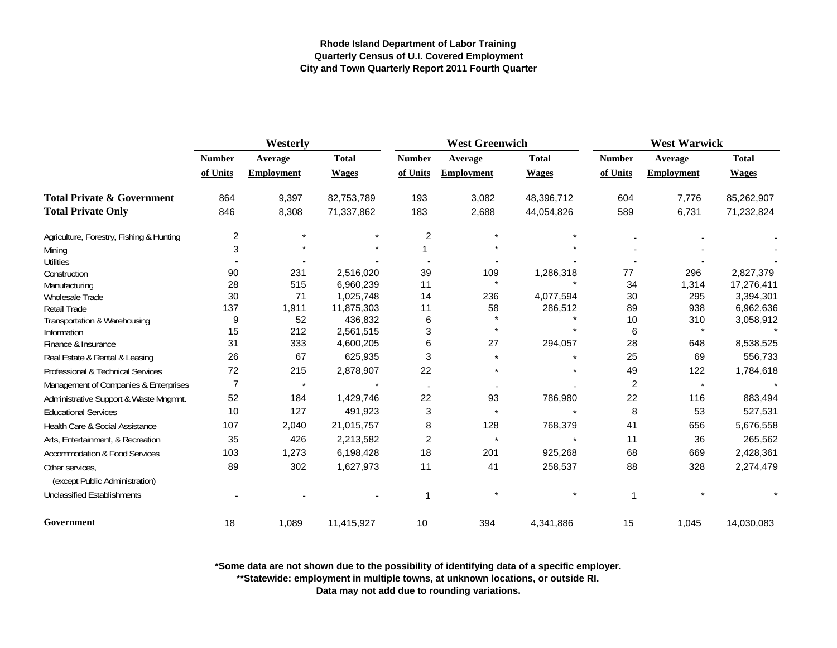|                                          | Westerly                  |                              |                              |                           | <b>West Greenwich</b>        |                              | <b>West Warwick</b>       |                              |                              |
|------------------------------------------|---------------------------|------------------------------|------------------------------|---------------------------|------------------------------|------------------------------|---------------------------|------------------------------|------------------------------|
|                                          | <b>Number</b><br>of Units | Average<br><b>Employment</b> | <b>Total</b><br><b>Wages</b> | <b>Number</b><br>of Units | Average<br><b>Employment</b> | <b>Total</b><br><b>Wages</b> | <b>Number</b><br>of Units | Average<br><b>Employment</b> | <b>Total</b><br><b>Wages</b> |
|                                          |                           |                              |                              |                           |                              |                              |                           |                              |                              |
| <b>Total Private &amp; Government</b>    | 864                       | 9,397                        | 82,753,789                   | 193                       | 3,082                        | 48,396,712                   | 604                       | 7,776                        | 85,262,907                   |
| <b>Total Private Only</b>                | 846                       | 8,308                        | 71,337,862                   | 183                       | 2,688                        | 44,054,826                   | 589                       | 6,731                        | 71,232,824                   |
| Agriculture, Forestry, Fishing & Hunting | $\overline{\mathbf{c}}$   | $\star$                      |                              | $\overline{c}$            |                              |                              |                           |                              |                              |
| Mining                                   | 3                         |                              |                              |                           |                              |                              |                           |                              |                              |
| <b>Utilities</b>                         |                           |                              |                              |                           |                              |                              |                           |                              |                              |
| Construction                             | 90                        | 231                          | 2,516,020                    | 39                        | 109                          | 1,286,318                    | 77                        | 296                          | 2,827,379                    |
| Manufacturing                            | 28                        | 515                          | 6,960,239                    | 11                        | $\star$                      |                              | 34                        | 1,314                        | 17,276,411                   |
| Wholesale Trade                          | 30                        | 71                           | 1,025,748                    | 14                        | 236                          | 4,077,594                    | 30                        | 295                          | 3,394,301                    |
| <b>Retail Trade</b>                      | 137                       | 1,911                        | 11,875,303                   | 11                        | 58                           | 286,512                      | 89                        | 938                          | 6,962,636                    |
| Transportation & Warehousing             | 9                         | 52                           | 436,832                      | 6                         |                              |                              | 10                        | 310                          | 3,058,912                    |
| Information                              | 15                        | 212                          | 2,561,515                    | 3                         |                              |                              | 6                         | $\star$                      |                              |
| Finance & Insurance                      | 31                        | 333                          | 4,600,205                    | 6                         | 27                           | 294,057                      | 28                        | 648                          | 8,538,525                    |
| Real Estate & Rental & Leasing           | 26                        | 67                           | 625,935                      | 3                         |                              |                              | 25                        | 69                           | 556,733                      |
| Professional & Technical Services        | 72                        | 215                          | 2,878,907                    | 22                        |                              |                              | 49                        | 122                          | 1,784,618                    |
| Management of Companies & Enterprises    | $\overline{7}$            | $\star$                      |                              |                           |                              |                              | $\overline{c}$            | $\star$                      |                              |
| Administrative Support & Waste Mngmnt.   | 52                        | 184                          | 1,429,746                    | 22                        | 93                           | 786,980                      | 22                        | 116                          | 883,494                      |
| <b>Educational Services</b>              | 10                        | 127                          | 491,923                      | 3                         |                              |                              | 8                         | 53                           | 527,531                      |
| Health Care & Social Assistance          | 107                       | 2,040                        | 21,015,757                   | 8                         | 128                          | 768,379                      | 41                        | 656                          | 5,676,558                    |
| Arts, Entertainment, & Recreation        | 35                        | 426                          | 2,213,582                    | 2                         |                              |                              | 11                        | 36                           | 265,562                      |
| Accommodation & Food Services            | 103                       | 1,273                        | 6,198,428                    | 18                        | 201                          | 925,268                      | 68                        | 669                          | 2,428,361                    |
| Other services.                          | 89                        | 302                          | 1,627,973                    | 11                        | 41                           | 258,537                      | 88                        | 328                          | 2,274,479                    |
| (except Public Administration)           |                           |                              |                              |                           |                              |                              |                           |                              |                              |
| <b>Unclassified Establishments</b>       |                           |                              |                              | 1                         |                              |                              |                           |                              |                              |
| Government                               | 18                        | 1,089                        | 11,415,927                   | 10                        | 394                          | 4,341,886                    | 15                        | 1,045                        | 14,030,083                   |

**\*Some data are not shown due to the possibility of identifying data of a specific employer.**

**\*\*Statewide: employment in multiple towns, at unknown locations, or outside RI.**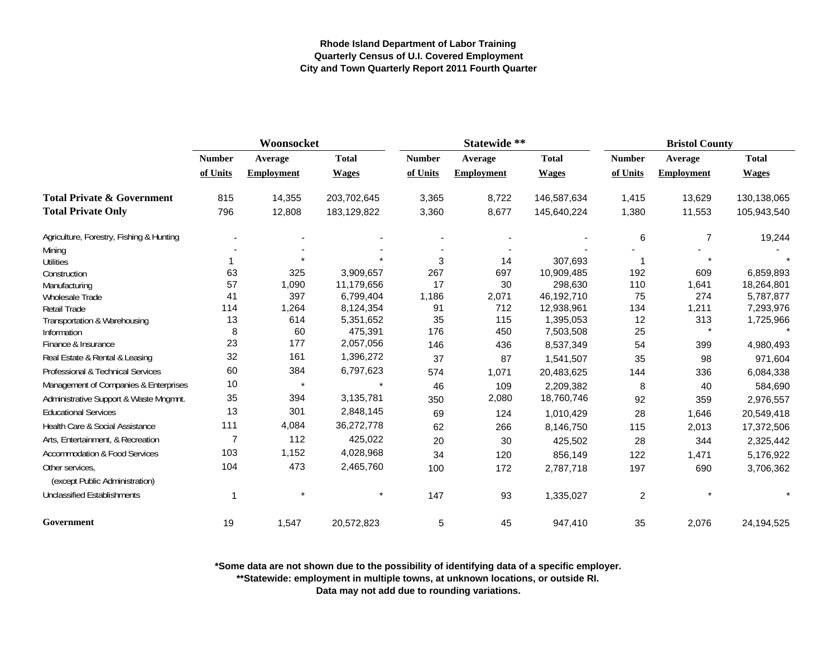|                                          | Woonsocket    |                   |              |               | Statewide **      |              |               | <b>Bristol County</b> |              |
|------------------------------------------|---------------|-------------------|--------------|---------------|-------------------|--------------|---------------|-----------------------|--------------|
|                                          | <b>Number</b> | Average           | <b>Total</b> | <b>Number</b> | Average           | <b>Total</b> | <b>Number</b> | Average               | <b>Total</b> |
|                                          | of Units      | <b>Employment</b> | <b>Wages</b> | of Units      | <b>Employment</b> | <b>Wages</b> | of Units      | <b>Employment</b>     | <b>Wages</b> |
| <b>Total Private &amp; Government</b>    | 815           | 14,355            | 203,702,645  | 3,365         | 8,722             | 146,587,634  | 1,415         | 13,629                | 130,138,065  |
| <b>Total Private Only</b>                | 796           | 12,808            | 183,129,822  | 3,360         | 8,677             | 145,640,224  | 1,380         | 11,553                | 105,943,540  |
| Agriculture, Forestry, Fishing & Hunting |               |                   |              |               |                   |              | 6             | 7                     | 19,244       |
| Mining                                   |               |                   |              |               |                   |              |               |                       |              |
| Utilities                                |               |                   |              | 3             | 14                | 307,693      |               |                       |              |
| Construction                             | 63            | 325               | 3,909,657    | 267           | 697               | 10,909,485   | 192           | 609                   | 6,859,893    |
| Manufacturing                            | 57            | 1,090             | 11,179,656   | 17            | 30                | 298,630      | 110           | 1,641                 | 18,264,801   |
| <b>Wholesale Trade</b>                   | 41            | 397               | 6,799,404    | 1,186         | 2,071             | 46,192,710   | 75            | 274                   | 5,787,877    |
| <b>Retail Trade</b>                      | 114           | 1,264             | 8,124,354    | 91            | 712               | 12,938,961   | 134           | 1,211                 | 7,293,976    |
| Transportation & Warehousing             | 13            | 614               | 5,351,652    | 35            | 115               | 1,395,053    | 12            | 313                   | 1,725,966    |
| Information                              | 8             | 60                | 475,391      | 176           | 450               | 7,503,508    | 25            |                       |              |
| Finance & Insurance                      | 23            | 177               | 2,057,056    | 146           | 436               | 8,537,349    | 54            | 399                   | 4,980,493    |
| Real Estate & Rental & Leasing           | 32            | 161               | 1,396,272    | 37            | 87                | 1,541,507    | 35            | 98                    | 971,604      |
| Professional & Technical Services        | 60            | 384               | 6,797,623    | 574           | 1,071             | 20,483,625   | 144           | 336                   | 6,084,338    |
| Management of Companies & Enterprises    | 10            | $\star$           |              | 46            | 109               | 2,209,382    | 8             | 40                    | 584,690      |
| Administrative Support & Waste Mngmnt.   | 35            | 394               | 3,135,781    | 350           | 2,080             | 18,760,746   | 92            | 359                   | 2,976,557    |
| <b>Educational Services</b>              | 13            | 301               | 2,848,145    | 69            | 124               | 1,010,429    | 28            | 1,646                 | 20,549,418   |
| Health Care & Social Assistance          | 111           | 4,084             | 36,272,778   | 62            | 266               | 8,146,750    | 115           | 2,013                 | 17,372,506   |
| Arts, Entertainment, & Recreation        | 7             | 112               | 425,022      | 20            | 30                | 425,502      | 28            | 344                   | 2,325,442    |
| <b>Accommodation &amp; Food Services</b> | 103           | 1,152             | 4,028,968    | 34            | 120               | 856,149      | 122           | 1,471                 | 5,176,922    |
| Other services.                          | 104           | 473               | 2,465,760    | 100           | 172               | 2,787,718    | 197           | 690                   | 3,706,362    |
| (except Public Administration)           |               |                   |              |               |                   |              |               |                       |              |
| <b>Unclassified Establishments</b>       |               |                   |              | 147           | 93                | 1,335,027    | 2             |                       |              |
| Government                               | 19            | 1,547             | 20,572,823   | 5             | 45                | 947,410      | 35            | 2,076                 | 24,194,525   |

**\*Some data are not shown due to the possibility of identifying data of a specific employer.**

**\*\*Statewide: employment in multiple towns, at unknown locations, or outside RI.**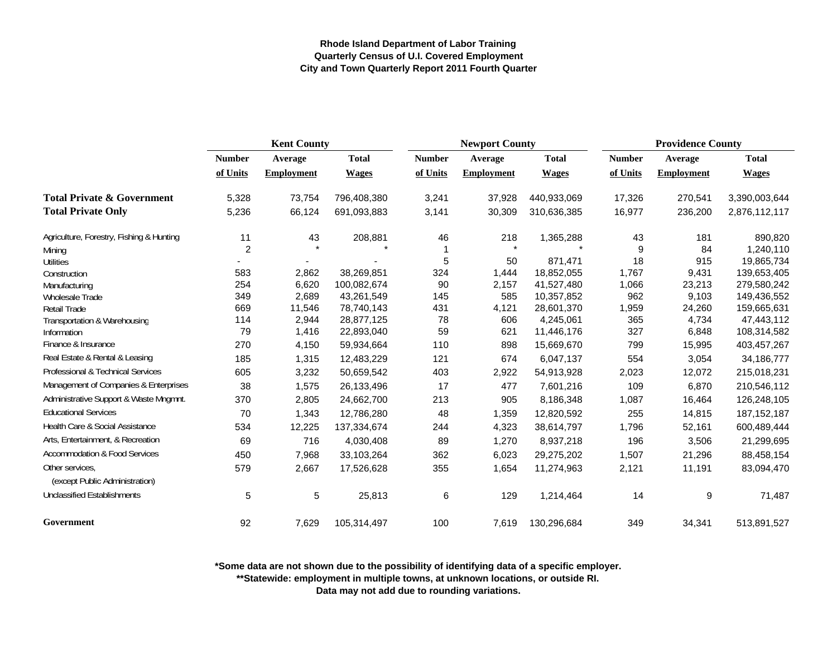|                                                   | <b>Kent County</b> |                   |              |               | <b>Newport County</b> |              |               | <b>Providence County</b> |               |  |
|---------------------------------------------------|--------------------|-------------------|--------------|---------------|-----------------------|--------------|---------------|--------------------------|---------------|--|
|                                                   | <b>Number</b>      | Average           | <b>Total</b> | <b>Number</b> | Average               | <b>Total</b> | <b>Number</b> | <b>Average</b>           | <b>Total</b>  |  |
|                                                   | of Units           | <b>Employment</b> | <b>Wages</b> | of Units      | <b>Employment</b>     | <b>Wages</b> | of Units      | <b>Employment</b>        | <b>Wages</b>  |  |
| <b>Total Private &amp; Government</b>             | 5,328              | 73,754            | 796,408,380  | 3,241         | 37,928                | 440,933,069  | 17,326        | 270,541                  | 3,390,003,644 |  |
| <b>Total Private Only</b>                         | 5,236              | 66,124            | 691,093,883  | 3,141         | 30,309                | 310,636,385  | 16,977        | 236,200                  | 2,876,112,117 |  |
| Agriculture, Forestry, Fishing & Hunting          | 11                 | 43                | 208,881      | 46            | 218                   | 1,365,288    | 43            | 181                      | 890,820       |  |
| Mining                                            | $\overline{2}$     |                   |              |               | $\star$               |              | 9             | 84                       | 1,240,110     |  |
| <b>Utilities</b>                                  |                    |                   |              | 5             | 50                    | 871,471      | 18            | 915                      | 19,865,734    |  |
| Construction                                      | 583                | 2,862             | 38,269,851   | 324           | 1,444                 | 18,852,055   | 1,767         | 9,431                    | 139,653,405   |  |
| Manufacturing                                     | 254                | 6,620             | 100,082,674  | 90            | 2,157                 | 41,527,480   | 1,066         | 23,213                   | 279,580,242   |  |
| Wholesale Trade                                   | 349                | 2,689             | 43,261,549   | 145           | 585                   | 10,357,852   | 962           | 9,103                    | 149,436,552   |  |
| <b>Retail Trade</b>                               | 669                | 11,546            | 78,740,143   | 431           | 4,121                 | 28,601,370   | 1,959         | 24,260                   | 159,665,631   |  |
| Transportation & Warehousing                      | 114                | 2,944             | 28,877,125   | 78            | 606                   | 4,245,061    | 365           | 4,734                    | 47,443,112    |  |
| Information                                       | 79                 | 1,416             | 22,893,040   | 59            | 621                   | 11,446,176   | 327           | 6,848                    | 108,314,582   |  |
| Finance & Insurance                               | 270                | 4,150             | 59,934,664   | 110           | 898                   | 15,669,670   | 799           | 15,995                   | 403,457,267   |  |
| Real Estate & Rental & Leasing                    | 185                | 1,315             | 12,483,229   | 121           | 674                   | 6,047,137    | 554           | 3,054                    | 34, 186, 777  |  |
| Professional & Technical Services                 | 605                | 3,232             | 50,659,542   | 403           | 2,922                 | 54,913,928   | 2,023         | 12,072                   | 215,018,231   |  |
| Management of Companies & Enterprises             | 38                 | 1,575             | 26,133,496   | 17            | 477                   | 7,601,216    | 109           | 6,870                    | 210,546,112   |  |
| Administrative Support & Waste Mngmnt.            | 370                | 2,805             | 24,662,700   | 213           | 905                   | 8,186,348    | 1,087         | 16,464                   | 126,248,105   |  |
| <b>Educational Services</b>                       | 70                 | 1,343             | 12,786,280   | 48            | 1,359                 | 12,820,592   | 255           | 14,815                   | 187, 152, 187 |  |
| Health Care & Social Assistance                   | 534                | 12,225            | 137,334,674  | 244           | 4,323                 | 38,614,797   | 1,796         | 52,161                   | 600,489,444   |  |
| Arts, Entertainment, & Recreation                 | 69                 | 716               | 4,030,408    | 89            | 1,270                 | 8,937,218    | 196           | 3,506                    | 21,299,695    |  |
| <b>Accommodation &amp; Food Services</b>          | 450                | 7,968             | 33,103,264   | 362           | 6,023                 | 29,275,202   | 1,507         | 21,296                   | 88,458,154    |  |
| Other services,<br>(except Public Administration) | 579                | 2,667             | 17,526,628   | 355           | 1,654                 | 11,274,963   | 2,121         | 11,191                   | 83,094,470    |  |
| <b>Unclassified Establishments</b>                | 5                  | 5                 | 25,813       | $\,6$         | 129                   | 1,214,464    | 14            | 9                        | 71,487        |  |
| Government                                        | 92                 | 7,629             | 105,314,497  | 100           | 7,619                 | 130,296,684  | 349           | 34,341                   | 513,891,527   |  |

**\*Some data are not shown due to the possibility of identifying data of a specific employer.**

**\*\*Statewide: employment in multiple towns, at unknown locations, or outside RI.**